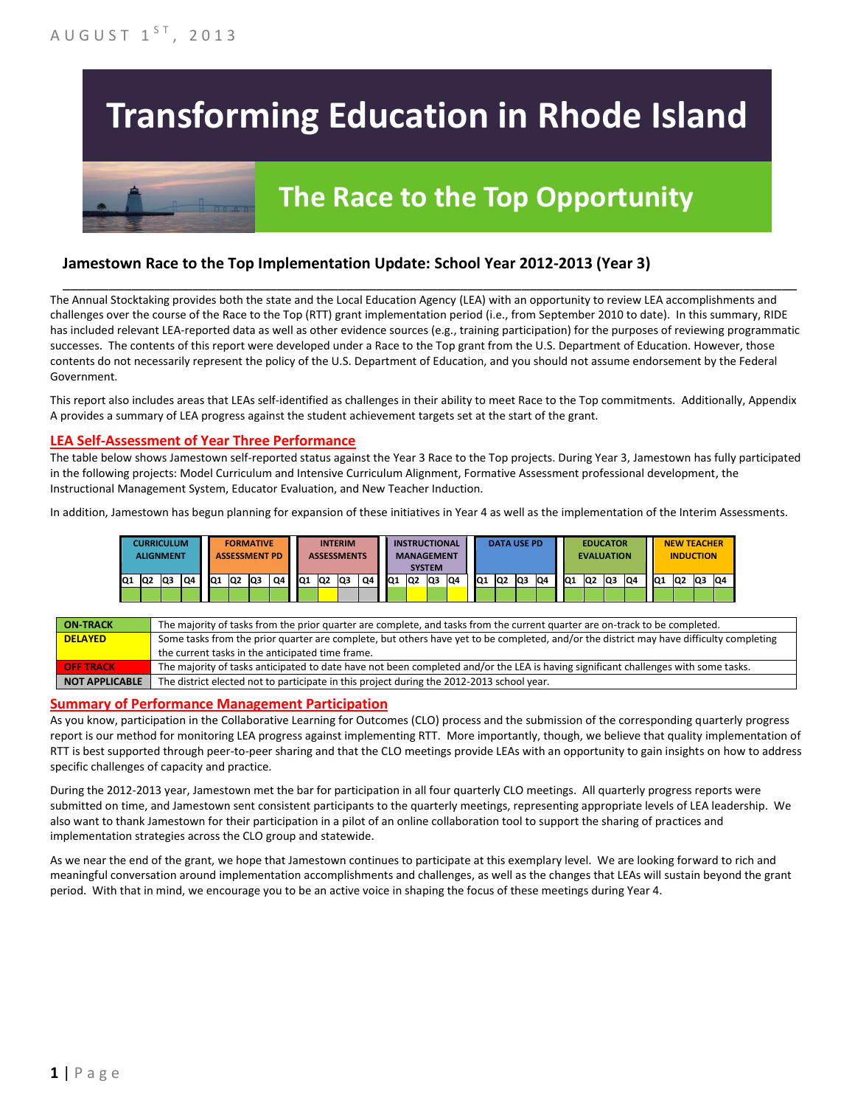# **Transforming Education in Rhode Island**

## **The Race to the Top Opportunity**

#### **Jamestown Race to the Top Implementation Update: School Year 2012-2013 (Year 3)**

The Annual Stocktaking provides both the state and the Local Education Agency (LEA) with an opportunity to review LEA accomplishments and challenges over the course of the Race to the Top (RTT) grant implementation period (i.e., from September 2010 to date). In this summary, RIDE has included relevant LEA-reported data as well as other evidence sources (e.g., training participation) for the purposes of reviewing programmatic successes. The contents of this report were developed under a Race to the Top grant from the U.S. Department of Education. However, those contents do not necessarily represent the policy of the U.S. Department of Education, and you should not assume endorsement by the Federal Government.

\_\_\_\_\_\_\_\_\_\_\_\_\_\_\_\_\_\_\_\_\_\_\_\_\_\_\_\_\_\_\_\_\_\_\_\_\_\_\_\_\_\_\_\_\_\_\_\_\_\_\_\_\_\_\_\_\_\_\_\_\_\_\_\_\_\_\_\_\_\_\_\_\_\_\_\_\_\_\_\_\_\_\_\_\_\_\_\_\_\_\_\_\_\_\_\_

This report also includes areas that LEAs self-identified as challenges in their ability to meet Race to the Top commitments. Additionally, Appendix A provides a summary of LEA progress against the student achievement targets set at the start of the grant.

#### **LEA Self-Assessment of Year Three Performance**

The table below shows Jamestown self-reported status against the Year 3 Race to the Top projects. During Year 3, Jamestown has fully participated in the following projects: Model Curriculum and Intensive Curriculum Alignment, Formative Assessment professional development, the Instructional Management System, Educator Evaluation, and New Teacher Induction.

In addition, Jamestown has begun planning for expansion of these initiatives in Year 4 as well as the implementation of the Interim Assessments.

|     | <b>CURRICULUM</b><br><b>ALIGNMENT</b> |    |    |     |                | <b>FORMATIVE</b><br><b>ASSESSMENT PD</b> |    |                 | <b>ASSESSMENTS</b> | <b>INTERIM</b> |    |                 |                 | <b>INSTRUCTIONAL</b><br><b>MANAGEMENT</b><br><b>SYSTEM</b> |    |                 |                | <b>DATA USE PD</b> |    |     | <b>EVALUATION</b> | <b>EDUCATOR</b> |    |                 | <b>NEW TEACHER</b><br><b>INDUCTION</b> |                |     |
|-----|---------------------------------------|----|----|-----|----------------|------------------------------------------|----|-----------------|--------------------|----------------|----|-----------------|-----------------|------------------------------------------------------------|----|-----------------|----------------|--------------------|----|-----|-------------------|-----------------|----|-----------------|----------------------------------------|----------------|-----|
| lQ1 | <b>Q2</b>                             | Q3 | Q4 | IQ1 | Q <sub>2</sub> | <b>Q3</b>                                | Q4 | IQ <sub>1</sub> | Q2                 | lQ3            | Q4 | IQ <sub>1</sub> | IQ <sub>2</sub> | lQ3                                                        | Q4 | IQ <sub>1</sub> | Q <sub>2</sub> | Q <sub>3</sub>     | Q4 | IQ1 | lQ <sub>2</sub>   | <b>Q3</b>       | Q4 | IQ <sub>1</sub> | Q <sub>2</sub>                         | Q <sub>3</sub> | IQ4 |
|     |                                       |    |    |     |                |                                          |    |                 |                    |                |    |                 |                 |                                                            |    |                 |                |                    |    |     |                   |                 |    |                 |                                        |                |     |

| <b>ON TRACK</b>       | The majority of tasks from the prior quarter are complete, and tasks from the current quarter are on-track to be completed.             |
|-----------------------|-----------------------------------------------------------------------------------------------------------------------------------------|
| <b>DELAYED</b>        | Some tasks from the prior quarter are complete, but others have yet to be completed, and/or the district may have difficulty completing |
|                       | the current tasks in the anticipated time frame.                                                                                        |
| <b>OFF TRACK</b>      | The majority of tasks anticipated to date have not been completed and/or the LEA is having significant challenges with some tasks.      |
| <b>NOT APPLICABLE</b> | The district elected not to participate in this project during the 2012-2013 school year.                                               |

#### **Summary of Performance Management Participation**

As you know, participation in the Collaborative Learning for Outcomes (CLO) process and the submission of the corresponding quarterly progress report is our method for monitoring LEA progress against implementing RTT. More importantly, though, we believe that quality implementation of RTT is best supported through peer-to-peer sharing and that the CLO meetings provide LEAs with an opportunity to gain insights on how to address specific challenges of capacity and practice.

During the 2012-2013 year, Jamestown met the bar for participation in all four quarterly CLO meetings. All quarterly progress reports were submitted on time, and Jamestown sent consistent participants to the quarterly meetings, representing appropriate levels of LEA leadership. We also want to thank Jamestown for their participation in a pilot of an online collaboration tool to support the sharing of practices and implementation strategies across the CLO group and statewide.

As we near the end of the grant, we hope that Jamestown continues to participate at this exemplary level. We are looking forward to rich and meaningful conversation around implementation accomplishments and challenges, as well as the changes that LEAs will sustain beyond the grant period. With that in mind, we encourage you to be an active voice in shaping the focus of these meetings during Year 4.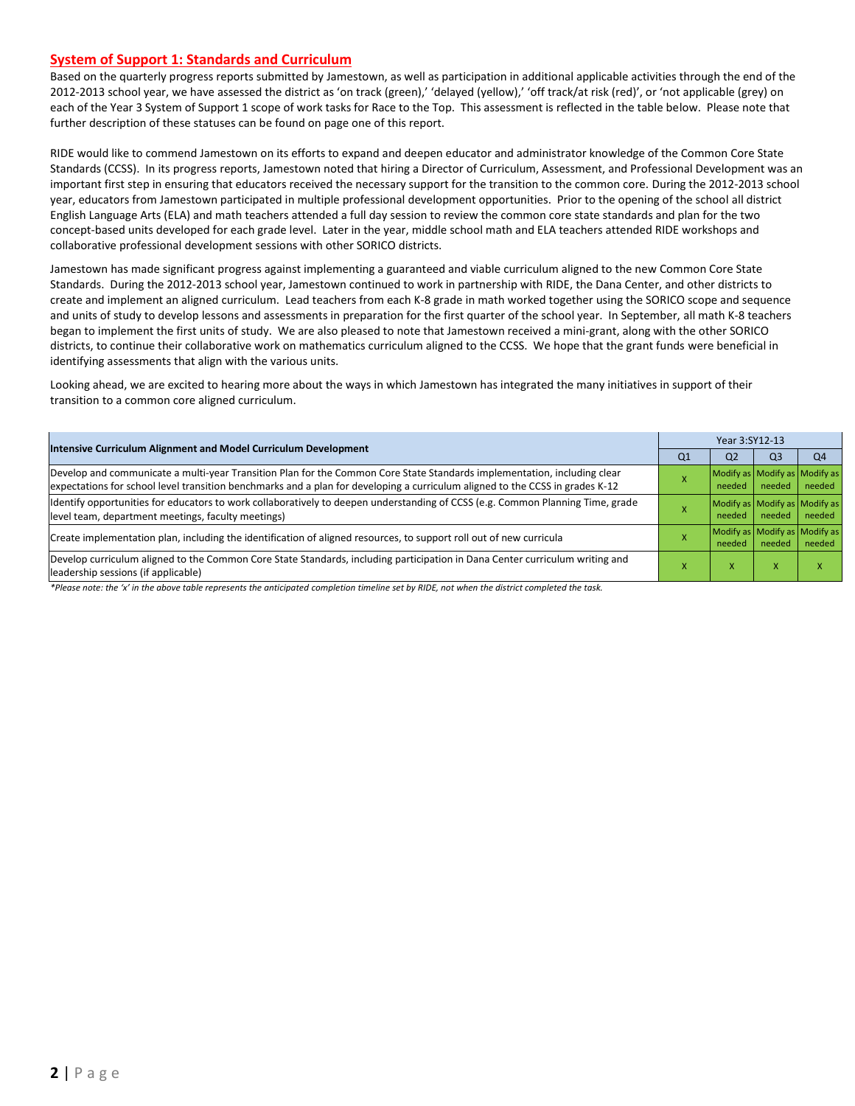#### **System of Support 1: Standards and Curriculum**

Based on the quarterly progress reports submitted by Jamestown, as well as participation in additional applicable activities through the end of the 2012-2013 school year, we have assessed the district as 'on track (green),' 'delayed (yellow),' 'off track/at risk (red)', or 'not applicable (grey) on each of the Year 3 System of Support 1 scope of work tasks for Race to the Top. This assessment is reflected in the table below. Please note that further description of these statuses can be found on page one of this report.

RIDE would like to commend Jamestown on its efforts to expand and deepen educator and administrator knowledge of the Common Core State Standards (CCSS). In its progress reports, Jamestown noted that hiring a Director of Curriculum, Assessment, and Professional Development was an important first step in ensuring that educators received the necessary support for the transition to the common core. During the 2012-2013 school year, educators from Jamestown participated in multiple professional development opportunities. Prior to the opening of the school all district English Language Arts (ELA) and math teachers attended a full day session to review the common core state standards and plan for the two concept-based units developed for each grade level. Later in the year, middle school math and ELA teachers attended RIDE workshops and collaborative professional development sessions with other SORICO districts.

Jamestown has made significant progress against implementing a guaranteed and viable curriculum aligned to the new Common Core State Standards. During the 2012-2013 school year, Jamestown continued to work in partnership with RIDE, the Dana Center, and other districts to create and implement an aligned curriculum. Lead teachers from each K-8 grade in math worked together using the SORICO scope and sequence and units of study to develop lessons and assessments in preparation for the first quarter of the school year. In September, all math K-8 teachers began to implement the first units of study. We are also pleased to note that Jamestown received a mini-grant, along with the other SORICO districts, to continue their collaborative work on mathematics curriculum aligned to the CCSS. We hope that the grant funds were beneficial in identifying assessments that align with the various units.

Looking ahead, we are excited to hearing more about the ways in which Jamestown has integrated the many initiatives in support of their transition to a common core aligned curriculum.

| <b>Intensive Curriculum Alignment and Model Curriculum Development</b>                                                                                                                                                                                    | Year 3:SY12-13 |                                         |                                         |                |  |  |
|-----------------------------------------------------------------------------------------------------------------------------------------------------------------------------------------------------------------------------------------------------------|----------------|-----------------------------------------|-----------------------------------------|----------------|--|--|
|                                                                                                                                                                                                                                                           | Q1             | Q <sub>2</sub>                          | Q3                                      | Q <sub>4</sub> |  |  |
| Develop and communicate a multi-year Transition Plan for the Common Core State Standards implementation, including clear<br>expectations for school level transition benchmarks and a plan for developing a curriculum aligned to the CCSS in grades K-12 |                | Modify as Modify as Modify as<br>needed | needed                                  | needed         |  |  |
| Identify opportunities for educators to work collaboratively to deepen understanding of CCSS (e.g. Common Planning Time, grade<br>level team, department meetings, faculty meetings)                                                                      |                | Modify as Modify as Modify as<br>needed | needed                                  | needed         |  |  |
| Create implementation plan, including the identification of aligned resources, to support roll out of new curricula                                                                                                                                       |                | needed                                  | Modify as Modify as Modify as<br>needed | needed         |  |  |
| Develop curriculum aligned to the Common Core State Standards, including participation in Dana Center curriculum writing and<br>leadership sessions (if applicable)                                                                                       |                | x                                       | x                                       |                |  |  |

*\*Please note: the 'x' in the above table represents the anticipated completion timeline set by RIDE, not when the district completed the task.*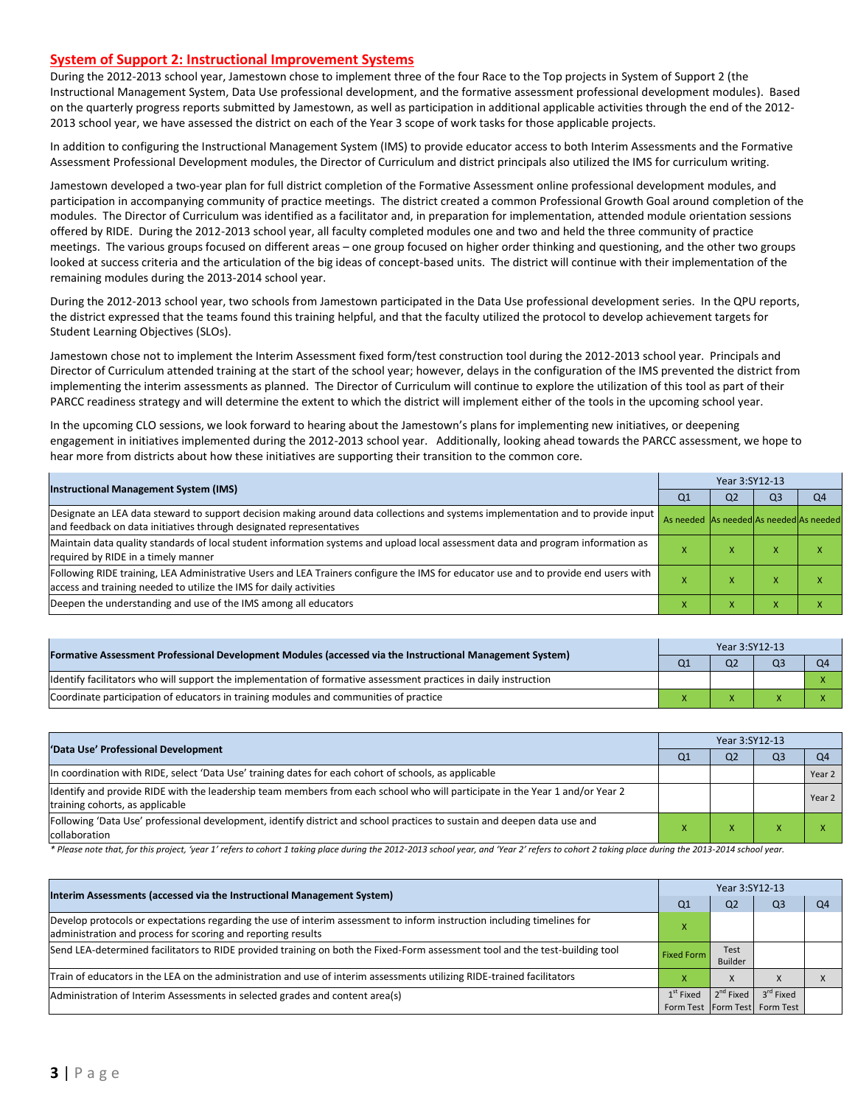#### **System of Support 2: Instructional Improvement Systems**

During the 2012-2013 school year, Jamestown chose to implement three of the four Race to the Top projects in System of Support 2 (the Instructional Management System, Data Use professional development, and the formative assessment professional development modules). Based on the quarterly progress reports submitted by Jamestown, as well as participation in additional applicable activities through the end of the 2012- 2013 school year, we have assessed the district on each of the Year 3 scope of work tasks for those applicable projects.

In addition to configuring the Instructional Management System (IMS) to provide educator access to both Interim Assessments and the Formative Assessment Professional Development modules, the Director of Curriculum and district principals also utilized the IMS for curriculum writing.

Jamestown developed a two-year plan for full district completion of the Formative Assessment online professional development modules, and participation in accompanying community of practice meetings. The district created a common Professional Growth Goal around completion of the modules. The Director of Curriculum was identified as a facilitator and, in preparation for implementation, attended module orientation sessions offered by RIDE. During the 2012-2013 school year, all faculty completed modules one and two and held the three community of practice meetings. The various groups focused on different areas – one group focused on higher order thinking and questioning, and the other two groups looked at success criteria and the articulation of the big ideas of concept-based units. The district will continue with their implementation of the remaining modules during the 2013-2014 school year.

During the 2012-2013 school year, two schools from Jamestown participated in the Data Use professional development series. In the QPU reports, the district expressed that the teams found this training helpful, and that the faculty utilized the protocol to develop achievement targets for Student Learning Objectives (SLOs).

Jamestown chose not to implement the Interim Assessment fixed form/test construction tool during the 2012-2013 school year. Principals and Director of Curriculum attended training at the start of the school year; however, delays in the configuration of the IMS prevented the district from implementing the interim assessments as planned. The Director of Curriculum will continue to explore the utilization of this tool as part of their PARCC readiness strategy and will determine the extent to which the district will implement either of the tools in the upcoming school year.

In the upcoming CLO sessions, we look forward to hearing about the Jamestown's plans for implementing new initiatives, or deepening engagement in initiatives implemented during the 2012-2013 school year. Additionally, looking ahead towards the PARCC assessment, we hope to hear more from districts about how these initiatives are supporting their transition to the common core.

| <b>Instructional Management System (IMS)</b>                                                                                                                                                              |                                         | Year 3:SY12-13 |                |    |  |  |  |  |
|-----------------------------------------------------------------------------------------------------------------------------------------------------------------------------------------------------------|-----------------------------------------|----------------|----------------|----|--|--|--|--|
|                                                                                                                                                                                                           | Q <sub>1</sub>                          | Q <sub>2</sub> | Q <sub>3</sub> | Q4 |  |  |  |  |
| Designate an LEA data steward to support decision making around data collections and systems implementation and to provide input<br>and feedback on data initiatives through designated representatives   | As needed As needed As needed As needed |                |                |    |  |  |  |  |
| Maintain data quality standards of local student information systems and upload local assessment data and program information as<br>required by RIDE in a timely manner                                   |                                         |                | ⋏              |    |  |  |  |  |
| Following RIDE training, LEA Administrative Users and LEA Trainers configure the IMS for educator use and to provide end users with<br>access and training needed to utilize the IMS for daily activities |                                         |                |                |    |  |  |  |  |
| Deepen the understanding and use of the IMS among all educators                                                                                                                                           |                                         | $\lambda$      | ⋏              |    |  |  |  |  |

|                                                                                                                  |  | Year 3:SY12-13 |                |  |  |  |  |  |
|------------------------------------------------------------------------------------------------------------------|--|----------------|----------------|--|--|--|--|--|
| [Formative Assessment Professional Development Modules (accessed via the Instructional Management System)        |  | Q <sub>2</sub> | Q <sub>3</sub> |  |  |  |  |  |
| ldentify facilitators who will support the implementation of formative assessment practices in daily instruction |  |                |                |  |  |  |  |  |
| Coordinate participation of educators in training modules and communities of practice                            |  |                |                |  |  |  |  |  |

| 'Data Use' Professional Development                                                                                                                             |                | Year 3:SY12-13 |    |                |  |  |  |
|-----------------------------------------------------------------------------------------------------------------------------------------------------------------|----------------|----------------|----|----------------|--|--|--|
|                                                                                                                                                                 | Q <sub>1</sub> | Q <sub>2</sub> | Q3 | O <sub>4</sub> |  |  |  |
| In coordination with RIDE, select 'Data Use' training dates for each cohort of schools, as applicable                                                           |                |                |    | Year 2         |  |  |  |
| ldentify and provide RIDE with the leadership team members from each school who will participate in the Year 1 and/or Year 2<br>training cohorts, as applicable |                |                |    | Year 2         |  |  |  |
| Following 'Data Use' professional development, identify district and school practices to sustain and deepen data use and<br>collaboration                       |                |                |    |                |  |  |  |

\* Please note that, for this project, 'year 1' refers to cohort 1 taking place during the 2012-2013 school year, and 'Year 2' refers to cohort 2 taking place during the 2013-2014 school year.

| Interim Assessments (accessed via the Instructional Management System)                                                                                                                  |                   | Year 3:SY12-13  |                               |    |  |  |  |
|-----------------------------------------------------------------------------------------------------------------------------------------------------------------------------------------|-------------------|-----------------|-------------------------------|----|--|--|--|
|                                                                                                                                                                                         | Q <sub>1</sub>    | Q <sub>2</sub>  | Q <sub>3</sub>                | Q4 |  |  |  |
| Develop protocols or expectations regarding the use of interim assessment to inform instruction including timelines for<br>administration and process for scoring and reporting results |                   |                 |                               |    |  |  |  |
| Send LEA-determined facilitators to RIDE provided training on both the Fixed-Form assessment tool and the test-building tool                                                            | <b>Fixed Form</b> | Test<br>Builder |                               |    |  |  |  |
| Train of educators in the LEA on the administration and use of interim assessments utilizing RIDE-trained facilitators                                                                  |                   | X               |                               |    |  |  |  |
| Administration of Interim Assessments in selected grades and content area(s)                                                                                                            | $1st$ Fixed       | $2^{nd}$ Fixed  | 3 <sup>rd</sup> Fixed         |    |  |  |  |
|                                                                                                                                                                                         |                   |                 | Form Test Form Test Form Test |    |  |  |  |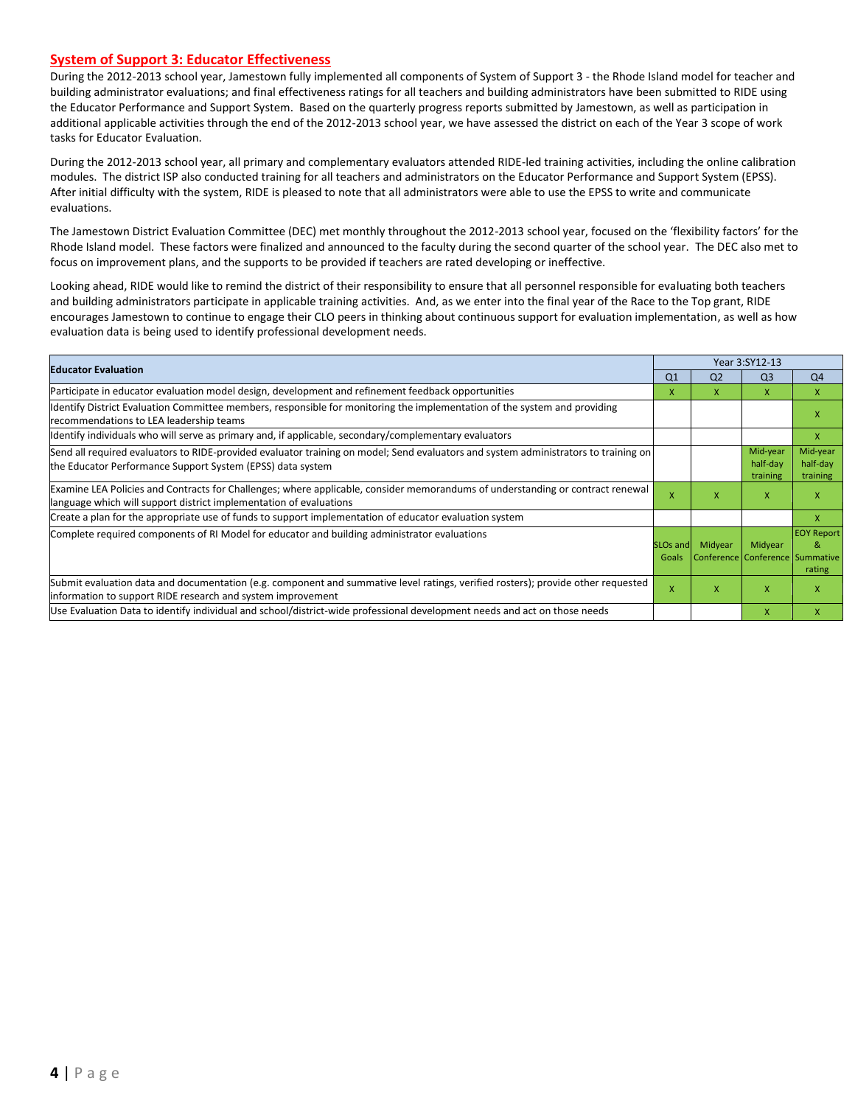#### **System of Support 3: Educator Effectiveness**

During the 2012-2013 school year, Jamestown fully implemented all components of System of Support 3 - the Rhode Island model for teacher and building administrator evaluations; and final effectiveness ratings for all teachers and building administrators have been submitted to RIDE using the Educator Performance and Support System. Based on the quarterly progress reports submitted by Jamestown, as well as participation in additional applicable activities through the end of the 2012-2013 school year, we have assessed the district on each of the Year 3 scope of work tasks for Educator Evaluation.

During the 2012-2013 school year, all primary and complementary evaluators attended RIDE-led training activities, including the online calibration modules. The district ISP also conducted training for all teachers and administrators on the Educator Performance and Support System (EPSS). After initial difficulty with the system, RIDE is pleased to note that all administrators were able to use the EPSS to write and communicate evaluations.

The Jamestown District Evaluation Committee (DEC) met monthly throughout the 2012-2013 school year, focused on the 'flexibility factors' for the Rhode Island model. These factors were finalized and announced to the faculty during the second quarter of the school year. The DEC also met to focus on improvement plans, and the supports to be provided if teachers are rated developing or ineffective.

Looking ahead, RIDE would like to remind the district of their responsibility to ensure that all personnel responsible for evaluating both teachers and building administrators participate in applicable training activities. And, as we enter into the final year of the Race to the Top grant, RIDE encourages Jamestown to continue to engage their CLO peers in thinking about continuous support for evaluation implementation, as well as how evaluation data is being used to identify professional development needs.

|                                                                                                                                                                                                      |                               |                                            | Year 3:SY12-13                   |                                  |
|------------------------------------------------------------------------------------------------------------------------------------------------------------------------------------------------------|-------------------------------|--------------------------------------------|----------------------------------|----------------------------------|
| <b>Educator Evaluation</b>                                                                                                                                                                           | Q <sub>1</sub>                | Q <sub>2</sub>                             | Q <sub>3</sub>                   | Q <sub>4</sub>                   |
| Participate in educator evaluation model design, development and refinement feedback opportunities                                                                                                   | X                             | X.                                         | $\mathsf{X}$                     | $\mathsf{x}$                     |
| Identify District Evaluation Committee members, responsible for monitoring the implementation of the system and providing<br>recommendations to LEA leadership teams                                 |                               |                                            |                                  | X                                |
| ldentify individuals who will serve as primary and, if applicable, secondary/complementary evaluators                                                                                                |                               |                                            |                                  | X                                |
| Send all required evaluators to RIDE-provided evaluator training on model; Send evaluators and system administrators to training on<br>the Educator Performance Support System (EPSS) data system    |                               |                                            | Mid-year<br>half-day<br>training | Mid-year<br>half-day<br>training |
| Examine LEA Policies and Contracts for Challenges; where applicable, consider memorandums of understanding or contract renewal<br>language which will support district implementation of evaluations | X                             | x                                          | $\mathsf{x}$                     | X                                |
| Create a plan for the appropriate use of funds to support implementation of educator evaluation system                                                                                               |                               |                                            |                                  | X                                |
| Complete required components of RI Model for educator and building administrator evaluations                                                                                                         | SLO <sub>s</sub> and<br>Goals | Midyear<br>Conference Conference Summative | Midyear                          | <b>EOY Report</b><br>&<br>rating |
| Submit evaluation data and documentation (e.g. component and summative level ratings, verified rosters); provide other requested<br>information to support RIDE research and system improvement      | x                             | x                                          | $\mathsf{x}$                     | X                                |
| Use Evaluation Data to identify individual and school/district-wide professional development needs and act on those needs                                                                            |                               |                                            | $\mathsf{x}$                     | x                                |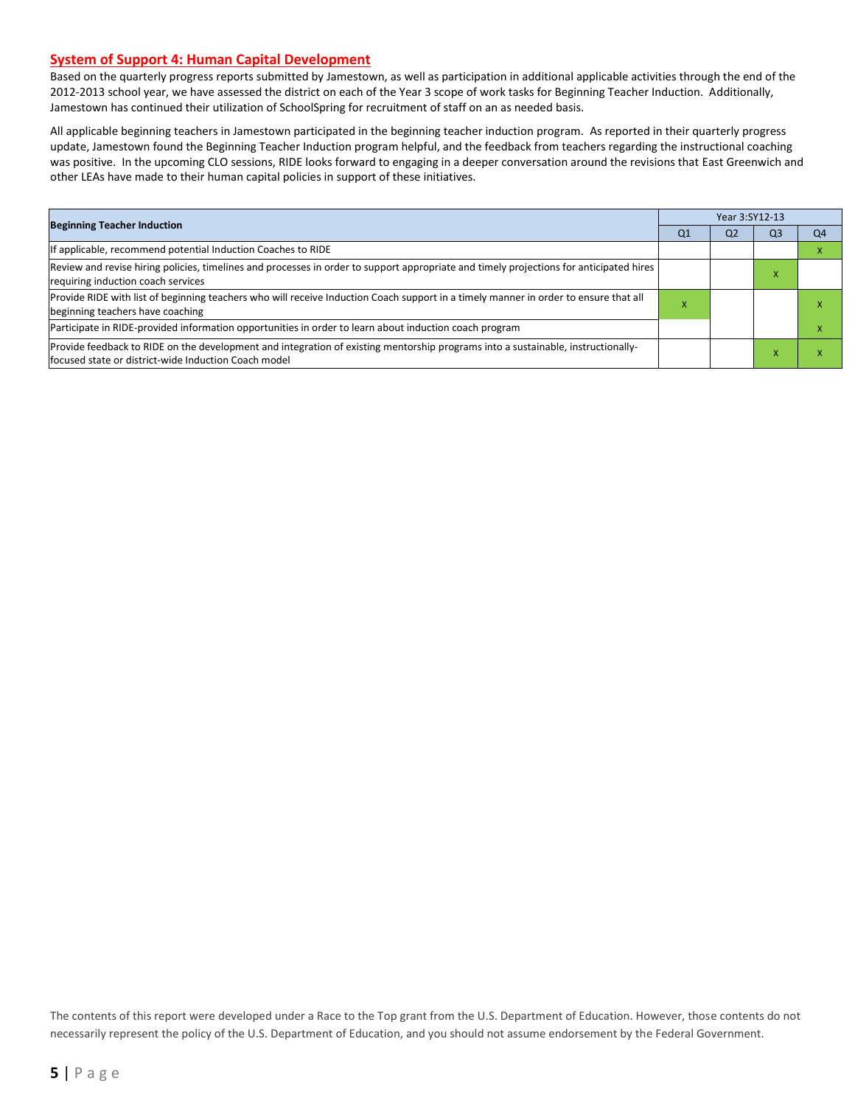#### **System of Support 4: Human Capital Development**

Based on the quarterly progress reports submitted by Jamestown, as well as participation in additional applicable activities through the end of the 2012-2013 school year, we have assessed the district on each of the Year 3 scope of work tasks for Beginning Teacher Induction. Additionally, Jamestown has continued their utilization of SchoolSpring for recruitment of staff on an as needed basis.

All applicable beginning teachers in Jamestown participated in the beginning teacher induction program. As reported in their quarterly progress update, Jamestown found the Beginning Teacher Induction program helpful, and the feedback from teachers regarding the instructional coaching was positive. In the upcoming CLO sessions, RIDE looks forward to engaging in a deeper conversation around the revisions that East Greenwich and other LEAs have made to their human capital policies in support of these initiatives.

| <b>Beginning Teacher Induction</b>                                                                                                                                                       |                | Year 3:SY12-13 |                |    |  |  |  |
|------------------------------------------------------------------------------------------------------------------------------------------------------------------------------------------|----------------|----------------|----------------|----|--|--|--|
|                                                                                                                                                                                          | Q <sub>1</sub> | Q <sub>2</sub> | Q <sub>3</sub> | Q4 |  |  |  |
| If applicable, recommend potential Induction Coaches to RIDE                                                                                                                             |                |                |                |    |  |  |  |
| Review and revise hiring policies, timelines and processes in order to support appropriate and timely projections for anticipated hires<br>requiring induction coach services            |                |                |                |    |  |  |  |
| Provide RIDE with list of beginning teachers who will receive Induction Coach support in a timely manner in order to ensure that all<br>beginning teachers have coaching                 |                |                |                |    |  |  |  |
| Participate in RIDE-provided information opportunities in order to learn about induction coach program                                                                                   |                |                |                |    |  |  |  |
| Provide feedback to RIDE on the development and integration of existing mentorship programs into a sustainable, instructionally-<br>focused state or district-wide Induction Coach model |                |                |                |    |  |  |  |

The contents of this report were developed under a Race to the Top grant from the U.S. Department of Education. However, those contents do not necessarily represent the policy of the U.S. Department of Education, and you should not assume endorsement by the Federal Government.